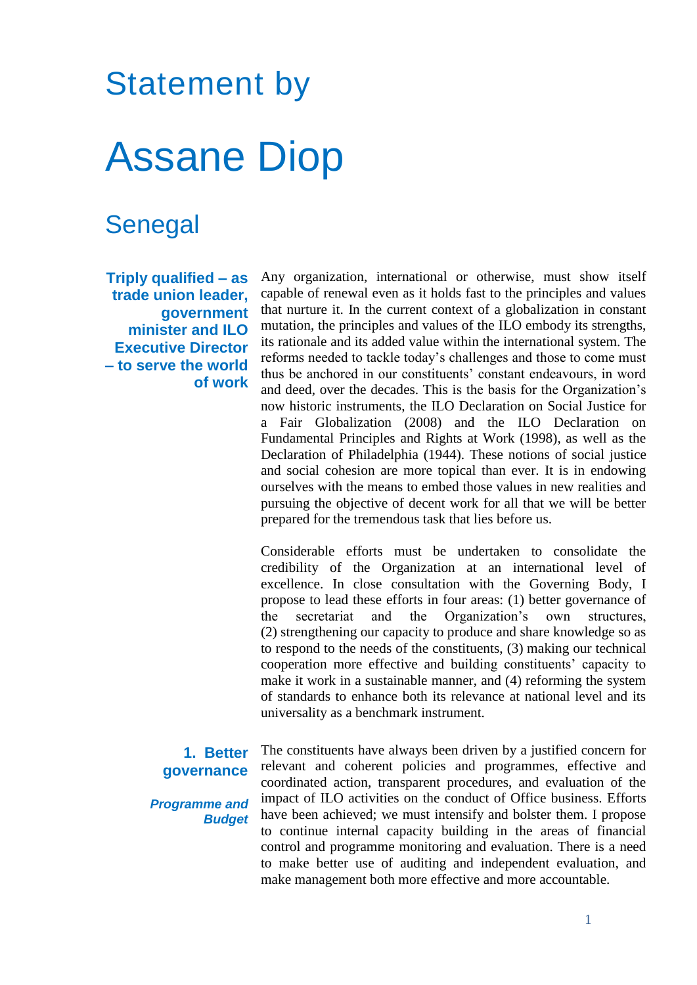## Statement by Assane Diop

## Senegal

**Triply qualified – as trade union leader, government minister and ILO Executive Director – to serve the world of work** Any organization, international or otherwise, must show itself capable of renewal even as it holds fast to the principles and values that nurture it. In the current context of a globalization in constant mutation, the principles and values of the ILO embody its strengths, its rationale and its added value within the international system. The reforms needed to tackle today's challenges and those to come must thus be anchored in our constituents' constant endeavours, in word and deed, over the decades. This is the basis for the Organization's now historic instruments, the ILO Declaration on Social Justice for a Fair Globalization (2008) and the ILO Declaration on Fundamental Principles and Rights at Work (1998), as well as the Declaration of Philadelphia (1944). These notions of social justice and social cohesion are more topical than ever. It is in endowing ourselves with the means to embed those values in new realities and pursuing the objective of decent work for all that we will be better prepared for the tremendous task that lies before us.

Considerable efforts must be undertaken to consolidate the credibility of the Organization at an international level of excellence. In close consultation with the Governing Body, I propose to lead these efforts in four areas: (1) better governance of the secretariat and the Organization's own structures, (2) strengthening our capacity to produce and share knowledge so as to respond to the needs of the constituents, (3) making our technical cooperation more effective and building constituents' capacity to make it work in a sustainable manner, and (4) reforming the system of standards to enhance both its relevance at national level and its universality as a benchmark instrument.

## **1. Better governance**

*Programme and Budget* The constituents have always been driven by a justified concern for relevant and coherent policies and programmes, effective and coordinated action, transparent procedures, and evaluation of the impact of ILO activities on the conduct of Office business. Efforts have been achieved; we must intensify and bolster them. I propose to continue internal capacity building in the areas of financial control and programme monitoring and evaluation. There is a need to make better use of auditing and independent evaluation, and make management both more effective and more accountable.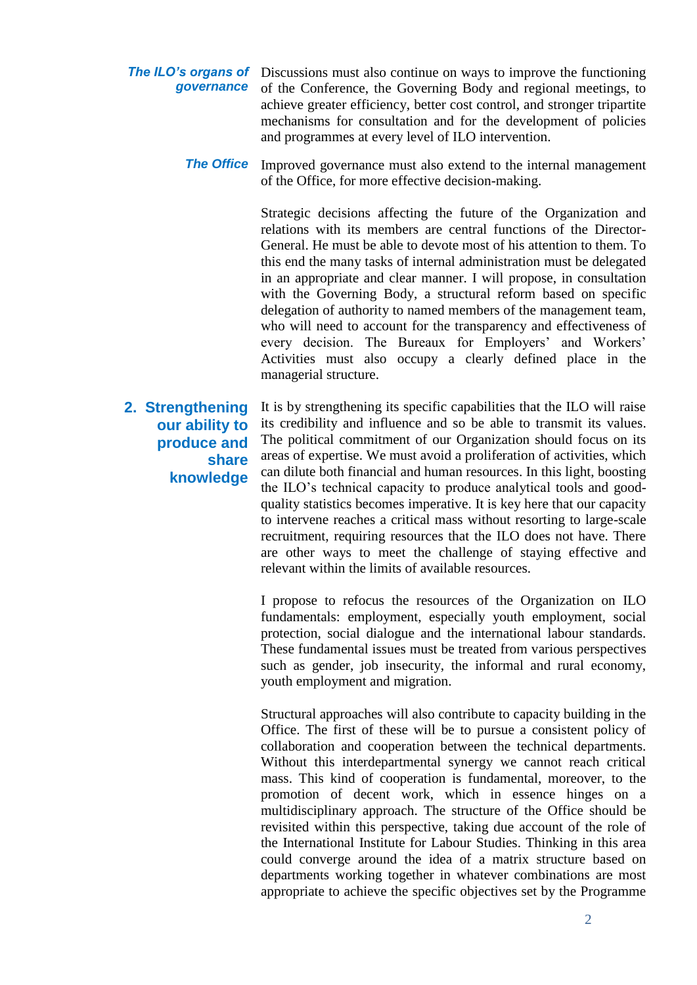**The ILO's organs of** Discussions must also continue on ways to improve the functioning *governance* of the Conference, the Governing Body and regional meetings, to achieve greater efficiency, better cost control, and stronger tripartite mechanisms for consultation and for the development of policies and programmes at every level of ILO intervention.

> **The Office** Improved governance must also extend to the internal management of the Office, for more effective decision-making.

> > Strategic decisions affecting the future of the Organization and relations with its members are central functions of the Director-General. He must be able to devote most of his attention to them. To this end the many tasks of internal administration must be delegated in an appropriate and clear manner. I will propose, in consultation with the Governing Body, a structural reform based on specific delegation of authority to named members of the management team, who will need to account for the transparency and effectiveness of every decision. The Bureaux for Employers' and Workers' Activities must also occupy a clearly defined place in the managerial structure.

**2. Strengthening our ability to produce and share knowledge** It is by strengthening its specific capabilities that the ILO will raise its credibility and influence and so be able to transmit its values. The political commitment of our Organization should focus on its areas of expertise. We must avoid a proliferation of activities, which can dilute both financial and human resources. In this light, boosting the ILO's technical capacity to produce analytical tools and goodquality statistics becomes imperative. It is key here that our capacity to intervene reaches a critical mass without resorting to large-scale recruitment, requiring resources that the ILO does not have. There are other ways to meet the challenge of staying effective and relevant within the limits of available resources.

> I propose to refocus the resources of the Organization on ILO fundamentals: employment, especially youth employment, social protection, social dialogue and the international labour standards. These fundamental issues must be treated from various perspectives such as gender, job insecurity, the informal and rural economy, youth employment and migration.

> Structural approaches will also contribute to capacity building in the Office. The first of these will be to pursue a consistent policy of collaboration and cooperation between the technical departments. Without this interdepartmental synergy we cannot reach critical mass. This kind of cooperation is fundamental, moreover, to the promotion of decent work, which in essence hinges on a multidisciplinary approach. The structure of the Office should be revisited within this perspective, taking due account of the role of the International Institute for Labour Studies. Thinking in this area could converge around the idea of a matrix structure based on departments working together in whatever combinations are most appropriate to achieve the specific objectives set by the Programme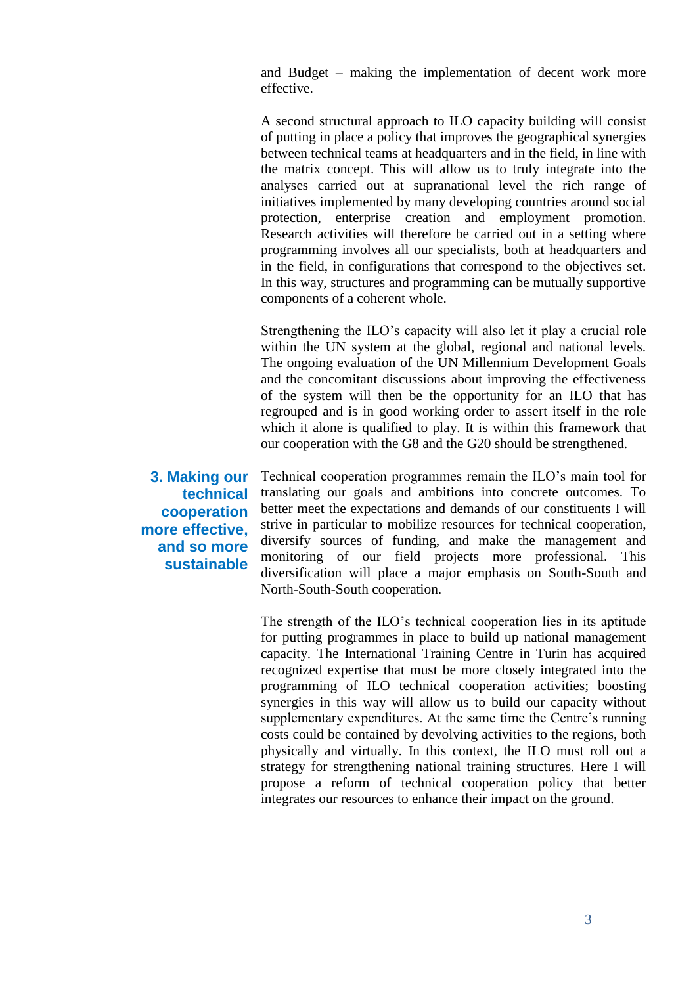and Budget – making the implementation of decent work more effective.

A second structural approach to ILO capacity building will consist of putting in place a policy that improves the geographical synergies between technical teams at headquarters and in the field, in line with the matrix concept. This will allow us to truly integrate into the analyses carried out at supranational level the rich range of initiatives implemented by many developing countries around social protection, enterprise creation and employment promotion. Research activities will therefore be carried out in a setting where programming involves all our specialists, both at headquarters and in the field, in configurations that correspond to the objectives set. In this way, structures and programming can be mutually supportive components of a coherent whole.

Strengthening the ILO's capacity will also let it play a crucial role within the UN system at the global, regional and national levels. The ongoing evaluation of the UN Millennium Development Goals and the concomitant discussions about improving the effectiveness of the system will then be the opportunity for an ILO that has regrouped and is in good working order to assert itself in the role which it alone is qualified to play. It is within this framework that our cooperation with the G8 and the G20 should be strengthened.

**3. Making our technical cooperation more effective, and so more sustainable**

Technical cooperation programmes remain the ILO's main tool for translating our goals and ambitions into concrete outcomes. To better meet the expectations and demands of our constituents I will strive in particular to mobilize resources for technical cooperation, diversify sources of funding, and make the management and monitoring of our field projects more professional. This diversification will place a major emphasis on South-South and North-South-South cooperation.

The strength of the ILO's technical cooperation lies in its aptitude for putting programmes in place to build up national management capacity. The International Training Centre in Turin has acquired recognized expertise that must be more closely integrated into the programming of ILO technical cooperation activities; boosting synergies in this way will allow us to build our capacity without supplementary expenditures. At the same time the Centre's running costs could be contained by devolving activities to the regions, both physically and virtually. In this context, the ILO must roll out a strategy for strengthening national training structures. Here I will propose a reform of technical cooperation policy that better integrates our resources to enhance their impact on the ground.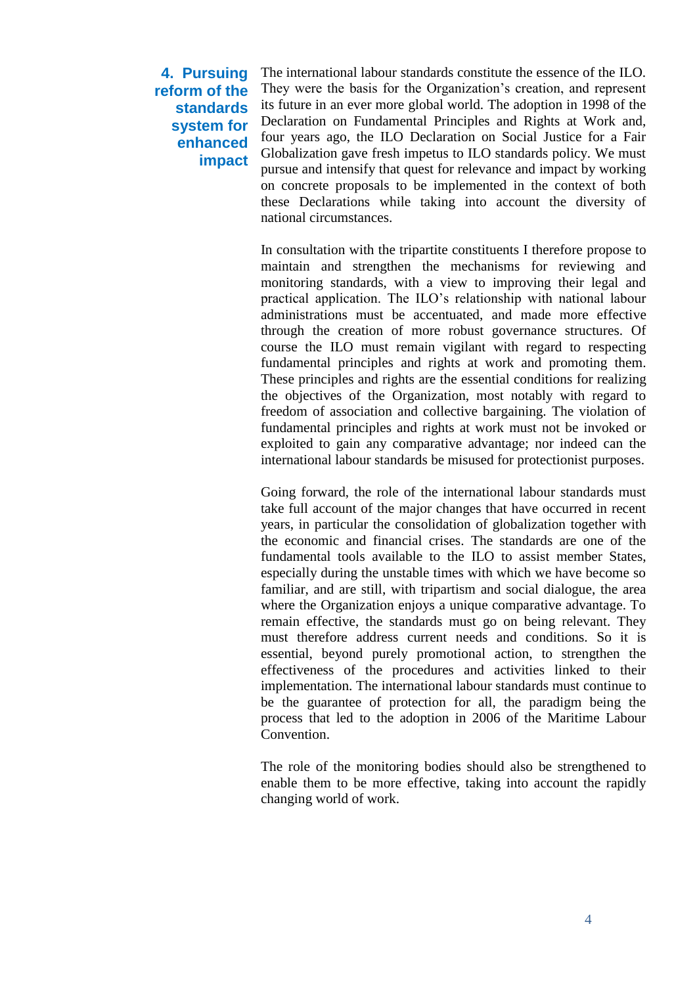## **4. Pursuing reform of the standards system for enhanced impact**

The international labour standards constitute the essence of the ILO. They were the basis for the Organization's creation, and represent its future in an ever more global world. The adoption in 1998 of the Declaration on Fundamental Principles and Rights at Work and, four years ago, the ILO Declaration on Social Justice for a Fair Globalization gave fresh impetus to ILO standards policy. We must pursue and intensify that quest for relevance and impact by working on concrete proposals to be implemented in the context of both these Declarations while taking into account the diversity of national circumstances.

In consultation with the tripartite constituents I therefore propose to maintain and strengthen the mechanisms for reviewing and monitoring standards, with a view to improving their legal and practical application. The ILO's relationship with national labour administrations must be accentuated, and made more effective through the creation of more robust governance structures. Of course the ILO must remain vigilant with regard to respecting fundamental principles and rights at work and promoting them. These principles and rights are the essential conditions for realizing the objectives of the Organization, most notably with regard to freedom of association and collective bargaining. The violation of fundamental principles and rights at work must not be invoked or exploited to gain any comparative advantage; nor indeed can the international labour standards be misused for protectionist purposes.

Going forward, the role of the international labour standards must take full account of the major changes that have occurred in recent years, in particular the consolidation of globalization together with the economic and financial crises. The standards are one of the fundamental tools available to the ILO to assist member States, especially during the unstable times with which we have become so familiar, and are still, with tripartism and social dialogue, the area where the Organization enjoys a unique comparative advantage. To remain effective, the standards must go on being relevant. They must therefore address current needs and conditions. So it is essential, beyond purely promotional action, to strengthen the effectiveness of the procedures and activities linked to their implementation. The international labour standards must continue to be the guarantee of protection for all, the paradigm being the process that led to the adoption in 2006 of the Maritime Labour Convention.

The role of the monitoring bodies should also be strengthened to enable them to be more effective, taking into account the rapidly changing world of work.